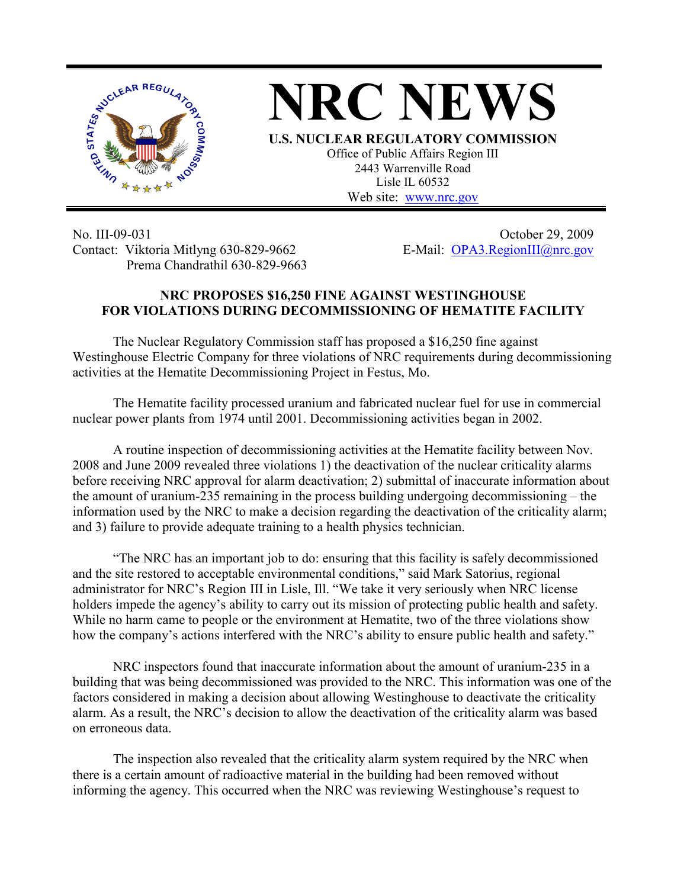

## **NRC NEWS**

**U.S. NUCLEAR REGULATORY COMMISSION** Office of Public Affairs Region III 2443 Warrenville Road Lisle IL 60532 Web site: www.nrc.gov

No. III-09-031 Contact: Viktoria Mitlyng 630-829-9662 Prema Chandrathil 630-829-9663

October 29, 2009 E-Mail: OPA3.RegionIII@nrc.gov

## **NRC PROPOSES \$16,250 FINE AGAINST WESTINGHOUSE FOR VIOLATIONS DURING DECOMMISSIONING OF HEMATITE FACILITY**

 The Nuclear Regulatory Commission staff has proposed a \$16,250 fine against Westinghouse Electric Company for three violations of NRC requirements during decommissioning activities at the Hematite Decommissioning Project in Festus, Mo.

The Hematite facility processed uranium and fabricated nuclear fuel for use in commercial nuclear power plants from 1974 until 2001. Decommissioning activities began in 2002.

A routine inspection of decommissioning activities at the Hematite facility between Nov. 2008 and June 2009 revealed three violations 1) the deactivation of the nuclear criticality alarms before receiving NRC approval for alarm deactivation; 2) submittal of inaccurate information about the amount of uranium-235 remaining in the process building undergoing decommissioning – the information used by the NRC to make a decision regarding the deactivation of the criticality alarm; and 3) failure to provide adequate training to a health physics technician.

"The NRC has an important job to do: ensuring that this facility is safely decommissioned and the site restored to acceptable environmental conditions," said Mark Satorius, regional administrator for NRC's Region III in Lisle, Ill. "We take it very seriously when NRC license holders impede the agency's ability to carry out its mission of protecting public health and safety. While no harm came to people or the environment at Hematite, two of the three violations show how the company's actions interfered with the NRC's ability to ensure public health and safety."

NRC inspectors found that inaccurate information about the amount of uranium-235 in a building that was being decommissioned was provided to the NRC. This information was one of the factors considered in making a decision about allowing Westinghouse to deactivate the criticality alarm. As a result, the NRC's decision to allow the deactivation of the criticality alarm was based on erroneous data.

The inspection also revealed that the criticality alarm system required by the NRC when there is a certain amount of radioactive material in the building had been removed without informing the agency. This occurred when the NRC was reviewing Westinghouse's request to